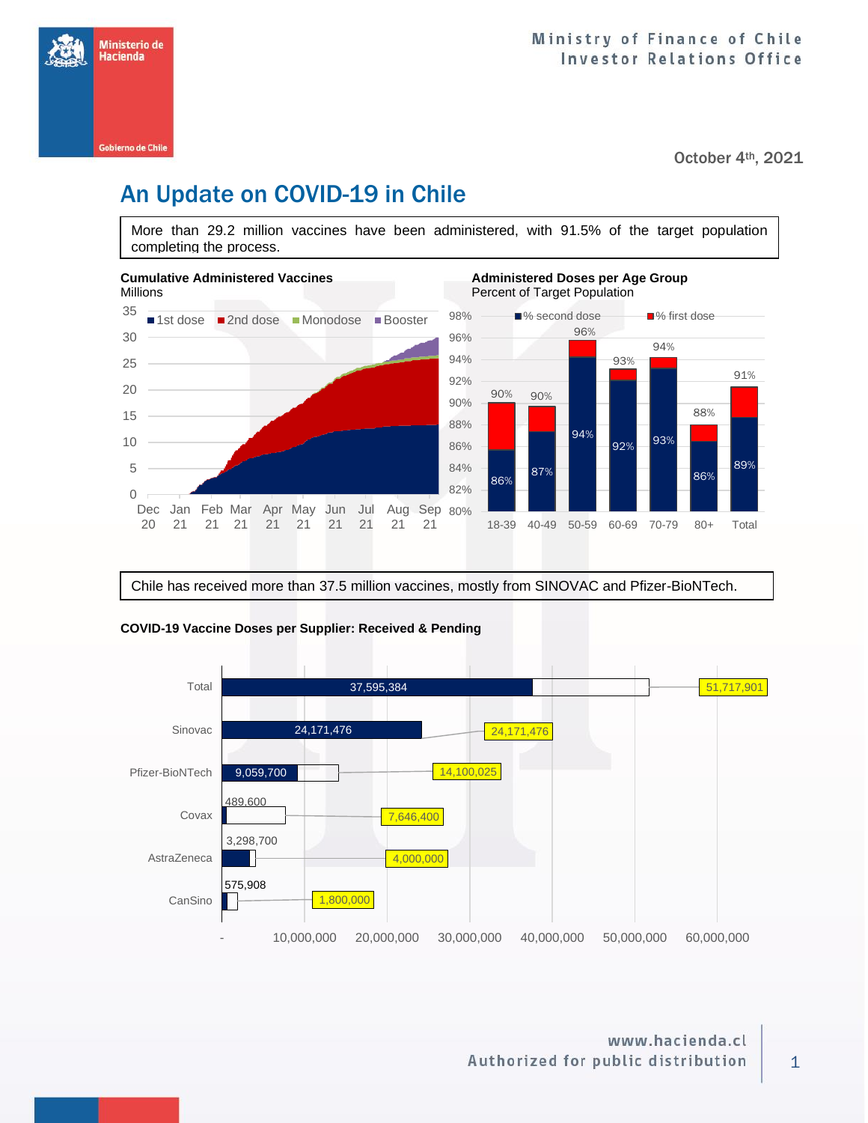Ministerio de Hacienda Gobierno de Chile

October 4<sup>th</sup>, 2021

# An Update on COVID-19 in Chile

More than 29.2 million vaccines have been administered, with 91.5% of the target population completing the process.



Chile has received more than 37.5 million vaccines, mostly from SINOVAC and Pfizer-BioNTech.



### **COVID-19 Vaccine Doses per Supplier: Received & Pending**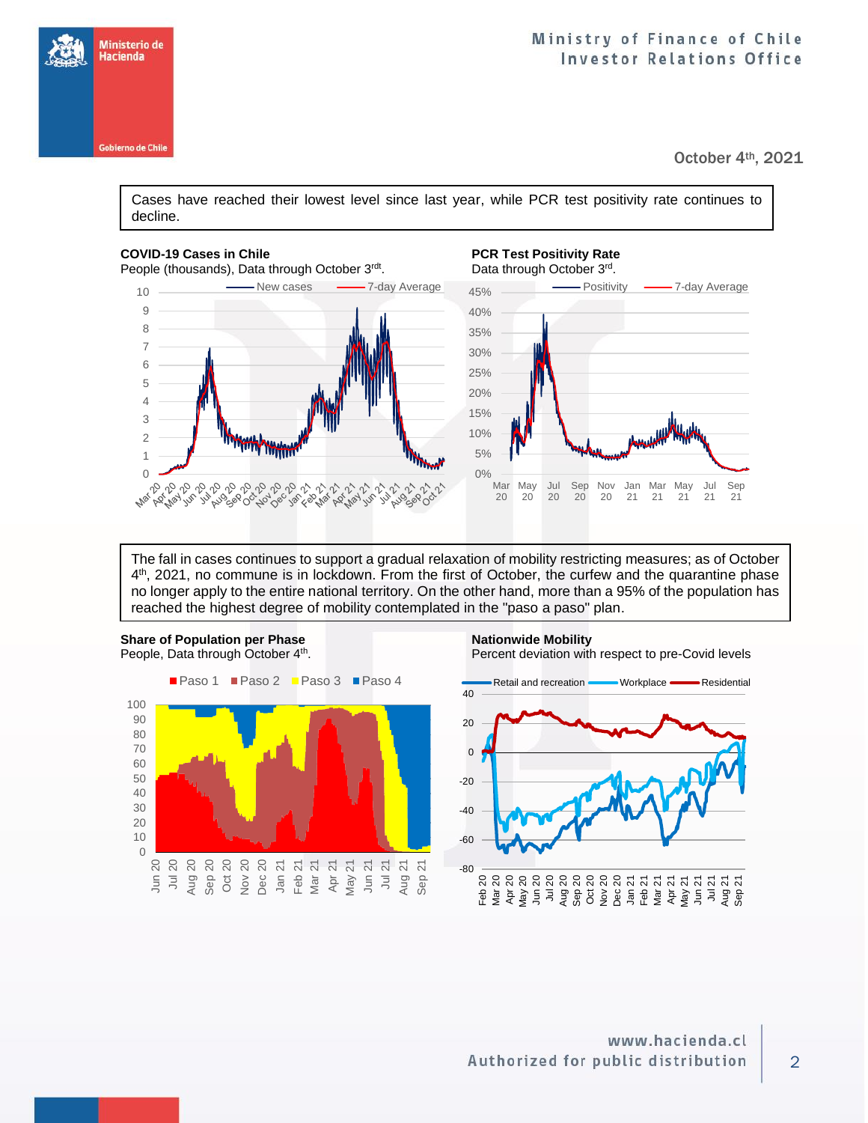

October 4<sup>th</sup>, 2021

Cases have reached their lowest level since last year, while PCR test positivity rate continues to decline.

#### **COVID-19 Cases in Chile PCR Test Positivity Rate PCR Test Positivity Rate**

Ministerio de Hacienda

**Gobierno de Chile** 

People (thousands), Data through October 3rdt





The fall in cases continues to support a gradual relaxation of mobility restricting measures; as of October 4<sup>th</sup>, 2021, no commune is in lockdown. From the first of October, the curfew and the quarantine phase no longer apply to the entire national territory. On the other hand, more than a 95% of the population has reached the highest degree of mobility contemplated in the "paso a paso" plan.



**Share of Population per Phase Nationwide Mobility**  . Percent deviation with respect to pre-Covid levels

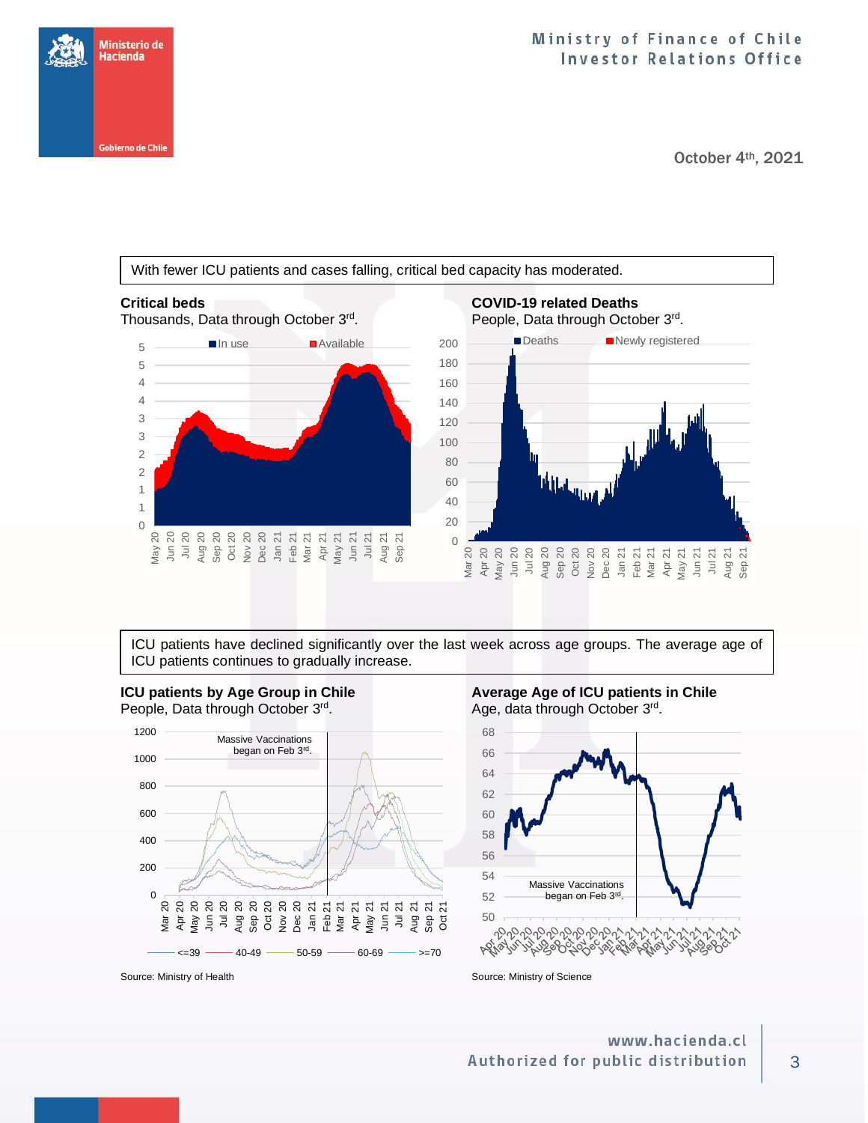## Ministry of Finance of Chile **Investor Relations Office**

October 4<sup>th</sup>, 2021





ICU patients have declined significantly over the last week across age groups. The average age of ICU patients continues to gradually increase.



Age, data through October 3rd.



Source: Ministry of Health Source: Ministry of Science